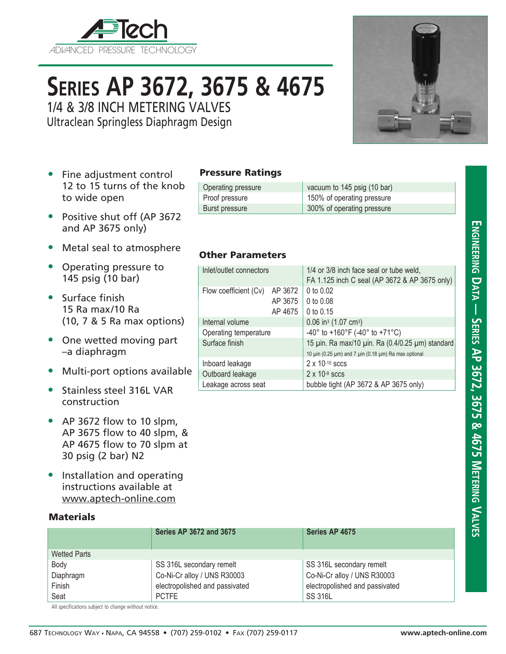

# **Series AP 3672, 3675 & 4675**

1/4 & 3/8 INCH METERING VALVES

Ultraclean Springless Diaphragm Design

- Fine adjustment control 12 to 15 turns of the knob to wide open
- Positive shut off (AP 3672 and AP 3675 only)
- Metal seal to atmosphere
- Operating pressure to 145 psig (10 bar)
- Surface finish 15 Ra max/10 Ra (10, 7 & 5 Ra max options)
- One wetted moving part –a diaphragm
- Multi-port options available
- Stainless steel 316L VAR construction
- AP 3672 flow to 10 slpm, AP 3675 flow to 40 slpm, & AP 4675 flow to 70 slpm at 30 psig (2 bar) N2
- Installation and operating instructions available at www.aptech-online.com

### **Materials**

|                     | <b>Series AP 3672 and 3675</b> | Series AP 4675                 |
|---------------------|--------------------------------|--------------------------------|
| <b>Wetted Parts</b> |                                |                                |
| Body                | SS 316L secondary remelt       | SS 316L secondary remelt       |
| Diaphragm           | Co-Ni-Cr alloy / UNS R30003    | Co-Ni-Cr alloy / UNS R30003    |
| Finish              | electropolished and passivated | electropolished and passivated |
| Seat                | <b>PCTFE</b>                   | <b>SS 316L</b>                 |

All specifications subject to change without notice.

Pressure Ratings

Other Parameters

Flow coefficient (Cv) AP 3672  $\vert$  0 to 0.02

Internal volume  $\vert$  0.06 in<sup>3</sup> (1.07 cm<sup>3</sup>)

Inboard leakage  $2 \times 10^{-10}$  sccs Outboard leakage  $2 \times 10^{-9}$  sccs

Operating pressure vacuum to 145 psig (10 bar) Proof pressure 150% of operating pressure Burst pressure 300% of operating pressure

Inlet/outlet connectors  $1/4$  or 3/8 inch face seal or tube weld.

AP 3675  $\vert$  0 to 0.08 AP 4675  $\vert$  0 to 0.15

Operating temperature  $-40^{\circ}$  to +160°F (-40° to +71°C)

Leakage across seat **bubble tight (AP 3672 & AP 3675 only)** 

Surface finish 15 µin. Ra max/10 µin. Ra (0.4/0.25 µm) standard

FA 1.125 inch C seal (AP 3672 & AP 3675 only)

10  $\mu$ in (0.25  $\mu$ m) and 7  $\mu$ in (0.18  $\mu$ m) Ra max optional



# **Engineering D a t a — Series AP 3672, 3675 & 4675 Metering V alves**